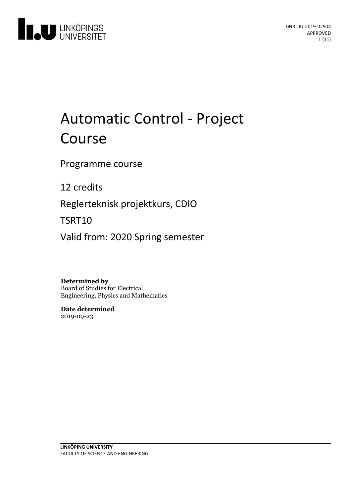

# Automatic Control - Project Course

Programme course

12 credits

Reglerteknisk projektkurs, CDIO

TSRT10

Valid from: 2020 Spring semester

**Determined by** Board of Studies for Electrical Engineering, Physics and Mathematics

**Date determined** 2019-09-23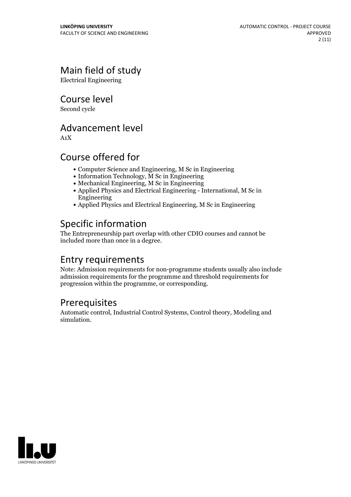## Main field of study

Electrical Engineering

Course level

Second cycle

## Advancement level

A1X

## Course offered for

- Computer Science and Engineering, M Sc in Engineering
- Information Technology, M Sc in Engineering
- Mechanical Engineering, M Sc in Engineering
- Applied Physics and Electrical Engineering International, M Sc in Engineering
- Applied Physics and Electrical Engineering, M Sc in Engineering

## Specific information

The Entrepreneurship part overlap with other CDIO courses and cannot be included more than once in a degree.

## Entry requirements

Note: Admission requirements for non-programme students usually also include admission requirements for the programme and threshold requirements for progression within the programme, or corresponding.

## Prerequisites

Automatic control, Industrial Control Systems, Control theory, Modeling and simulation.

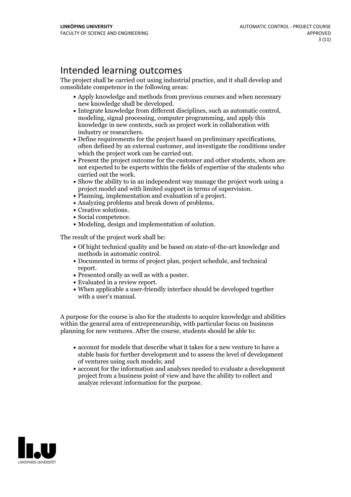## Intended learning outcomes

The project shall be carried out using industrial practice, and it shall develop and consolidate competence in the following areas:

- Apply knowledge and methods from previous courses and when necessary
- $\bullet$  Integrate knowledge from different disciplines, such as automatic control, modeling, signal processing, computer programming, and apply this knowledge in new contexts, such as project work in collaboration with
- industry or researchers.<br>
 Define requirements for the project based on preliminary specifications, often defined by an external customer, and investigate the conditions under which the project work can be carried out.
- $\bullet$  Present the project outcome for the customer and other students, whom are not expected to be experts within the fields of expertise of the students who carried out the work.<br>• Show the ability to in an independent way manage the project work using a
- project model and with limited support in terms of supervision.<br>
 Planning, implementation and evaluation of a project.<br>
 Analyzing problems and break down of problems.<br>
 Creative solutions.<br>
 Social competence.<br>
 Mod
- 
- 
- 
- 
- 

The result of the project work shall be:

- Of hight technical quality and be based on state-of-the-art knowledge and
- methods in automatic control.<br>• Documented in terms of project plan, project schedule, and technical • Presented orally as well as with a poster.<br>• Evaluated in a review report.<br>• When applicable a user-friendly interface should be developed together
- 
- 
- with a user's manual.

A purpose for the course is also for the students to acquire knowledge and abilities within the general area of entrepreneurship, with particular focus on business planning for new ventures. After the course, students should be able to:

- account for models that describe what it takes for a new venture to have a stable basis for further development and to assess the level of development of ventures using such models; and
- account for the information and analyses needed to evaluate a development project from a business point of view and have the ability to collect and analyze relevant information for the purpose.

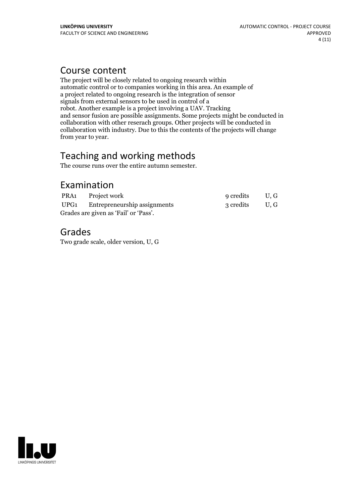## Course content

The project will be closely related to ongoing research within automatic control or to companies working in this area. An example of a project related to ongoing research is the integration of sensor signals from external sensors to be used in control of a robot. Another example is a project involving a UAV. Tracking and sensor fusion are possible assignments. Some projects might be conducted in collaboration with other reserach groups. Other projects will be conducted in collaboration with industry. Due to this the contents of the projects will change from year to year.

## Teaching and working methods

The course runs over the entire autumn semester.

## Examination

|                                       | PRA1 Project work                 | 9 credits |     |
|---------------------------------------|-----------------------------------|-----------|-----|
|                                       | UPG1 Entrepreneurship assignments | 3 credits | U.G |
| Grades are given as 'Fail' or 'Pass'. |                                   |           |     |

## Grades

Two grade scale, older version, U, G

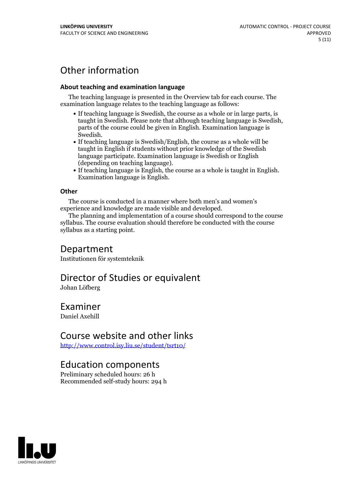## Other information

### **About teaching and examination language**

The teaching language is presented in the Overview tab for each course. The examination language relates to the teaching language as follows:

- If teaching language is Swedish, the course as a whole or in large parts, is taught in Swedish. Please note that although teaching language is Swedish, parts of the course could be given in English. Examination language is
- Swedish.<br>• If teaching language is Swedish/English, the course as a whole will be taught in English if students without prior knowledge of the Swedish language participate. Examination language is Swedish or English
- (depending on teaching language).<br>
 If teaching language is English, the course as a whole is taught in English.<br>
Examination language is English.

### **Other**

The course is conducted in a manner where both men's and women's

experience and knowledge are made visible and developed. The planning and implementation of <sup>a</sup> course should correspond to the course syllabus. The course evaluation should therefore be conducted with the course syllabus as a starting point.

## Department

Institutionen för systemteknik

## Director of Studies or equivalent

Johan Löfberg

## Examiner

Daniel Axehill

## Course website and other links

<http://www.control.isy.liu.se/student/tsrt10/>

## Education components

Preliminary scheduled hours: 26 h Recommended self-study hours: 294 h

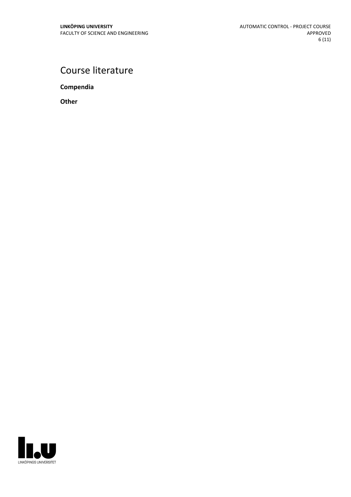## Course literature

**Compendia**

**Other**

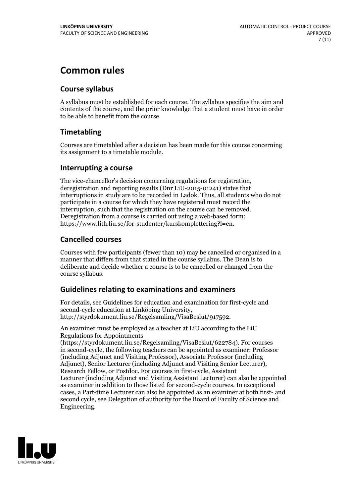## **Common rules**

### **Course syllabus**

A syllabus must be established for each course. The syllabus specifies the aim and contents of the course, and the prior knowledge that a student must have in order to be able to benefit from the course.

### **Timetabling**

Courses are timetabled after a decision has been made for this course concerning its assignment to a timetable module.

### **Interrupting a course**

The vice-chancellor's decision concerning regulations for registration, deregistration and reporting results (Dnr LiU-2015-01241) states that interruptions in study are to be recorded in Ladok. Thus, all students who do not participate in a course for which they have registered must record the interruption, such that the registration on the course can be removed. Deregistration from <sup>a</sup> course is carried outusing <sup>a</sup> web-based form: https://www.lith.liu.se/for-studenter/kurskomplettering?l=en.

### **Cancelled courses**

Courses with few participants (fewer than 10) may be cancelled or organised in a manner that differs from that stated in the course syllabus. The Dean is to deliberate and decide whether a course is to be cancelled or changed from the course syllabus.

### **Guidelines relatingto examinations and examiners**

For details, see Guidelines for education and examination for first-cycle and second-cycle education at Linköping University, http://styrdokument.liu.se/Regelsamling/VisaBeslut/917592.

An examiner must be employed as a teacher at LiU according to the LiU Regulations for Appointments

(https://styrdokument.liu.se/Regelsamling/VisaBeslut/622784). For courses in second-cycle, the following teachers can be appointed as examiner: Professor (including Adjunct and Visiting Professor), Associate Professor (including Adjunct), Senior Lecturer (including Adjunct and Visiting Senior Lecturer), Research Fellow, or Postdoc. For courses in first-cycle, Assistant Lecturer (including Adjunct and Visiting Assistant Lecturer) can also be appointed as examiner in addition to those listed for second-cycle courses. In exceptional cases, a Part-time Lecturer can also be appointed as an examiner at both first- and second cycle, see Delegation of authority for the Board of Faculty of Science and Engineering.

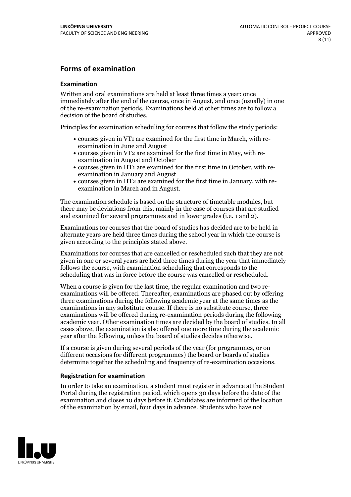### **Forms of examination**

### **Examination**

Written and oral examinations are held at least three times a year: once immediately after the end of the course, once in August, and once (usually) in one of the re-examination periods. Examinations held at other times are to follow a decision of the board of studies.

Principles for examination scheduling for courses that follow the study periods:

- courses given in VT1 are examined for the first time in March, with re-examination in June and August
- courses given in VT2 are examined for the first time in May, with re-examination in August and October
- courses given in HT1 are examined for the first time in October, with re-examination in January and August
- courses given in HT2 are examined for the first time in January, with re-examination in March and in August.

The examination schedule is based on the structure of timetable modules, but there may be deviations from this, mainly in the case of courses that are studied and examined for several programmes and in lower grades (i.e. 1 and 2).

Examinations for courses that the board of studies has decided are to be held in alternate years are held three times during the school year in which the course is given according to the principles stated above.

Examinations for courses that are cancelled orrescheduled such that they are not given in one or several years are held three times during the year that immediately follows the course, with examination scheduling that corresponds to the scheduling that was in force before the course was cancelled or rescheduled.

When a course is given for the last time, the regular examination and two re-<br>examinations will be offered. Thereafter, examinations are phased out by offering three examinations during the following academic year at the same times as the examinations in any substitute course. If there is no substitute course, three examinations will be offered during re-examination periods during the following academic year. Other examination times are decided by the board of studies. In all cases above, the examination is also offered one more time during the academic year after the following, unless the board of studies decides otherwise.

If a course is given during several periods of the year (for programmes, or on different occasions for different programmes) the board or boards of studies determine together the scheduling and frequency of re-examination occasions.

### **Registration for examination**

In order to take an examination, a student must register in advance at the Student Portal during the registration period, which opens 30 days before the date of the examination and closes 10 days before it. Candidates are informed of the location of the examination by email, four days in advance. Students who have not

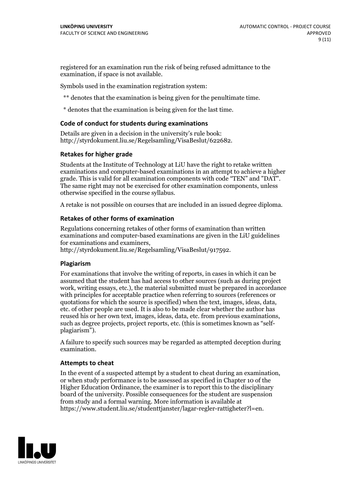registered for an examination run the risk of being refused admittance to the examination, if space is not available.

Symbols used in the examination registration system:

\*\* denotes that the examination is being given for the penultimate time.

\* denotes that the examination is being given for the last time.

### **Code of conduct for students during examinations**

Details are given in a decision in the university's rule book: http://styrdokument.liu.se/Regelsamling/VisaBeslut/622682.

### **Retakes for higher grade**

Students at the Institute of Technology at LiU have the right to retake written examinations and computer-based examinations in an attempt to achieve a higher grade. This is valid for all examination components with code "TEN" and "DAT". The same right may not be exercised for other examination components, unless otherwise specified in the course syllabus.

A retake is not possible on courses that are included in an issued degree diploma.

### **Retakes of other forms of examination**

Regulations concerning retakes of other forms of examination than written examinations and computer-based examinations are given in the LiU guidelines

http://styrdokument.liu.se/Regelsamling/VisaBeslut/917592.

### **Plagiarism**

For examinations that involve the writing of reports, in cases in which it can be assumed that the student has had access to other sources (such as during project work, writing essays, etc.), the material submitted must be prepared in accordance with principles for acceptable practice when referring to sources (references or quotations for which the source is specified) when the text, images, ideas, data,  $\vec{e}$  etc. of other people are used. It is also to be made clear whether the author has reused his or her own text, images, ideas, data, etc. from previous examinations, such as degree projects, project reports, etc. (this is sometimes known as "self- plagiarism").

A failure to specify such sources may be regarded as attempted deception during examination.

### **Attempts to cheat**

In the event of <sup>a</sup> suspected attempt by <sup>a</sup> student to cheat during an examination, or when study performance is to be assessed as specified in Chapter <sup>10</sup> of the Higher Education Ordinance, the examiner is to report this to the disciplinary board of the university. Possible consequences for the student are suspension from study and a formal warning. More information is available at https://www.student.liu.se/studenttjanster/lagar-regler-rattigheter?l=en.

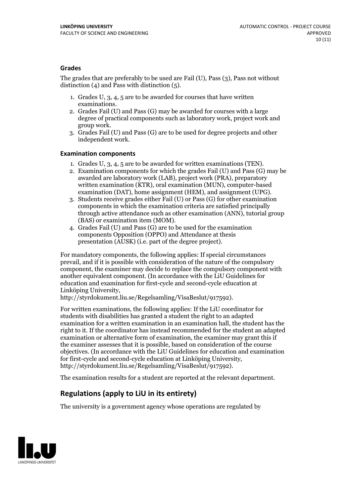### **Grades**

The grades that are preferably to be used are Fail (U), Pass (3), Pass not without distinction  $(4)$  and Pass with distinction  $(5)$ .

- 1. Grades U, 3, 4, 5 are to be awarded for courses that have written
- examinations. 2. Grades Fail (U) and Pass (G) may be awarded for courses with <sup>a</sup> large degree of practical components such as laboratory work, project work and group work. 3. Grades Fail (U) and Pass (G) are to be used for degree projects and other
- independent work.

### **Examination components**

- 
- 1. Grades U, 3, 4, <sup>5</sup> are to be awarded for written examinations (TEN). 2. Examination components for which the grades Fail (U) and Pass (G) may be awarded are laboratory work (LAB), project work (PRA), preparatory written examination (KTR), oral examination (MUN), computer-based
- examination (DAT), home assignment (HEM), and assignment (UPG). 3. Students receive grades either Fail (U) or Pass (G) for other examination components in which the examination criteria are satisfied principally through active attendance such as other examination (ANN), tutorial group (BAS) or examination item (MOM). 4. Grades Fail (U) and Pass (G) are to be used for the examination
- components Opposition (OPPO) and Attendance at thesis presentation (AUSK) (i.e. part of the degree project).

For mandatory components, the following applies: If special circumstances prevail, and if it is possible with consideration of the nature of the compulsory component, the examiner may decide to replace the compulsory component with another equivalent component. (In accordance with the LiU Guidelines for education and examination for first-cycle and second-cycle education at Linköping University, http://styrdokument.liu.se/Regelsamling/VisaBeslut/917592).

For written examinations, the following applies: If the LiU coordinator for students with disabilities has granted a student the right to an adapted examination for a written examination in an examination hall, the student has the right to it. If the coordinator has instead recommended for the student an adapted examination or alternative form of examination, the examiner may grant this if the examiner assesses that it is possible, based on consideration of the course objectives. (In accordance with the LiU Guidelines for education and examination for first-cycle and second-cycle education at Linköping University, http://styrdokument.liu.se/Regelsamling/VisaBeslut/917592).

The examination results for a student are reported at the relevant department.

## **Regulations (applyto LiU in its entirety)**

The university is a government agency whose operations are regulated by